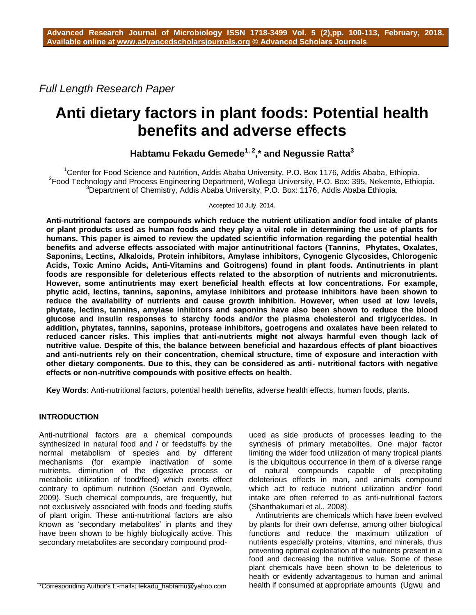*Full Length Research Paper*

# **Anti dietary factors in plant foods: Potential health benefits and adverse effects**

**Habtamu Fekadu Gemede1, <sup>2</sup> ,\* and Negussie Ratta<sup>3</sup>**

 $1$ Center for Food Science and Nutrition, Addis Ababa University, P.O. Box 1176, Addis Ababa, Ethiopia. <sup>2</sup> Food Technology and Process Engineering Department, Wollega University, P.O. Box: 395, Nekemte, Ethiopia. <sup>3</sup>Department of Chemistry, Addis Ababa University, P.O. Box: 1176, Addis Ababa Ethiopia.

Accepted 10 July, 2014.

**Anti-nutritional factors are compounds which reduce the nutrient utilization and/or food intake of plants or plant products used as human foods and they play a vital role in determining the use of plants for humans. This paper is aimed to review the updated scientific information regarding the potential health benefits and adverse effects associated with major antinutritional factors (Tannins, Phytates, Oxalates, Saponins, Lectins, Alkaloids, Protein inhibitors, Amylase inhibitors, Cynogenic Glycosides, Chlorogenic Acids, Toxic Amino Acids, Anti-Vitamins and Goitrogens) found in plant foods. Antinutrients in plant foods are responsible for deleterious effects related to the absorption of nutrients and micronutrients. However, some antinutrients may exert beneficial health effects at low concentrations. For example, phytic acid, lectins, tannins, saponins, amylase inhibitors and protease inhibitors have been shown to reduce the availability of nutrients and cause growth inhibition. However, when used at low levels, phytate, lectins, tannins, amylase inhibitors and saponins have also been shown to reduce the blood glucose and insulin responses to starchy foods and/or the plasma cholesterol and triglycerides. In addition, phytates, tannins, saponins, protease inhibitors, goetrogens and oxalates have been related to reduced cancer risks. This implies that anti-nutrients might not always harmful even though lack of nutritive value. Despite of this, the balance between beneficial and hazardous effects of plant bioactives and anti-nutrients rely on their concentration, chemical structure, time of exposure and interaction with other dietary components. Due to this, they can be considered as anti- nutritional factors with negative effects or non-nutritive compounds with positive effects on health.**

**Key Words**: Anti-nutritional factors, potential health benefits, adverse health effects, human foods, plants.

## **INTRODUCTION**

Anti-nutritional factors are a chemical compounds synthesized in natural food and / or feedstuffs by the normal metabolism of species and by different mechanisms (for example inactivation of some nutrients, diminution of the digestive process or metabolic utilization of food/feed) which exerts effect contrary to optimum nutrition (Soetan and Oyewole, 2009). Such chemical compounds, are frequently, but not exclusively associated with foods and feeding stuffs of plant origin. These anti-nutritional factors are also known as 'secondary metabolites' in plants and they have been shown to be highly biologically active. This secondary metabolites are secondary compound prod-

uced as side products of processes leading to the synthesis of primary metabolites. One major factor limiting the wider food utilization of many tropical plants is the ubiquitous occurrence in them of a diverse range of natural compounds capable of precipitating deleterious effects in man, and animals compound which act to reduce nutrient utilization and/or food intake are often referred to as anti-nutritional factors (Shanthakumari et al., 2008).

Antinutrients are chemicals which have been evolved by plants for their own defense, among other biological functions and reduce the maximum utilization of nutrients especially proteins, vitamins, and minerals, thus preventing optimal exploitation of the nutrients present in a food and decreasing the nutritive value. Some of these plant chemicals have been shown to be deleterious to health or evidently advantageous to human and animal health if consumed at appropriate amounts (Ugwu and

\*Corresponding Author's E-mails: [fekadu\\_habtamu@yahoo.com](mailto:fekadu_habtamu@yahoo.com%20/)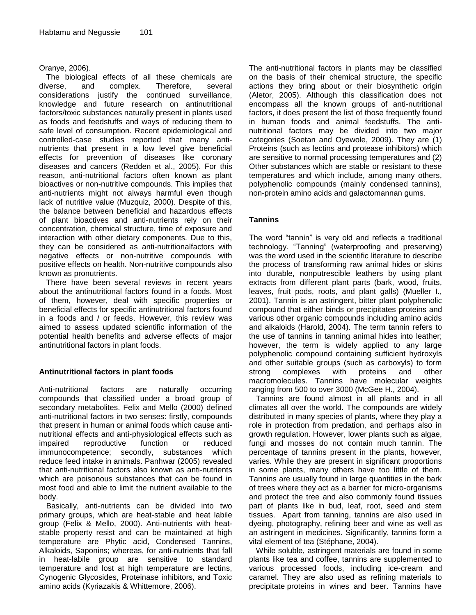#### Oranye, 2006).

The biological effects of all these chemicals are diverse, and complex. Therefore, several considerations justify the continued surveillance, knowledge and future research on antinutritional factors/toxic substances naturally present in plants used as foods and feedstuffs and ways of reducing them to safe level of consumption. Recent epidemiological and controlled-case studies reported that many antinutrients that present in a low level give beneficial effects for prevention of diseases like coronary diseases and cancers (Redden et al., 2005). For this reason, anti-nutritional factors often known as plant bioactives or non-nutritive compounds. This implies that anti-nutrients might not always harmful even though lack of nutritive value (Muzquiz, 2000). Despite of this, the balance between beneficial and hazardous effects of plant bioactives and anti-nutrients rely on their concentration, chemical structure, time of exposure and interaction with other dietary components. Due to this, they can be considered as anti-nutritionalfactors with negative effects or non-nutritive compounds with positive effects on health. Non-nutritive compounds also known as pronutrients.

There have been several reviews in recent years about the antinutritional factors found in a foods. Most of them, however, deal with specific properties or beneficial effects for specific antinutritional factors found in a foods and / or feeds. However, this review was aimed to assess updated scientific information of the potential health benefits and adverse effects of major antinutritional factors in plant foods.

## **Antinutritional factors in plant foods**

Anti-nutritional factors are naturally occurring compounds that classified under a broad group of secondary metabolites. Felix and Mello (2000) defined anti-nutritional factors in two senses: firstly, compounds that present in human or animal foods which cause antinutritional effects and anti-physiological effects such as impaired reproductive function or reduced immunocompetence; secondly, substances which reduce feed intake in animals. Panhwar (2005) revealed that anti-nutritional factors also known as anti-nutrients which are poisonous substances that can be found in most food and able to limit the nutrient available to the body.

Basically, anti-nutrients can be divided into two primary groups, which are heat-stable and heat labile group (Felix & Mello, 2000). Anti-nutrients with heatstable property resist and can be maintained at high temperature are Phytic acid, Condensed Tannins, Alkaloids, Saponins; whereas, for anti-nutrients that fall in heat-labile group are sensitive to standard temperature and lost at high temperature are lectins, Cynogenic Glycosides, Proteinase inhibitors, and Toxic amino acids (Kyriazakis & Whittemore, 2006).

The anti-nutritional factors in plants may be classified on the basis of their chemical structure, the specific actions they bring about or their biosynthetic origin (Aletor, 2005). Although this classification does not encompass all the known groups of anti-nutritional factors, it does present the list of those frequently found in human foods and animal feedstuffs. The antinutritional factors may be divided into two major categories (Soetan and Oyewole, 2009). They are (1) Proteins (such as lectins and protease inhibitors) which are sensitive to normal processing temperatures and (2) Other substances which are stable or resistant to these temperatures and which include, among many others, polyphenolic compounds (mainly condensed tannins), non-protein amino acids and galactomannan gums.

## **Tannins**

The word "tannin" is very old and reflects a traditional technology. "Tanning" (waterproofing and preserving) was the word used in the scientific literature to describe the process of transforming raw animal hides or skins into durable, nonputrescible leathers by using plant extracts from different plant parts (bark, wood, fruits, leaves, fruit pods, roots, and plant galls) (Mueller I., 2001). Tannin is an astringent, bitter plant polyphenolic compound that either binds or precipitates proteins and various other organic compounds including amino acids and alkaloids (Harold, 2004). The term tannin refers to the use of tannins in tanning animal hides into leather; however, the term is widely applied to any large polyphenolic compound containing sufficient hydroxyls and other suitable groups (such as carboxyls) to form<br>strong complexes with proteins and other strong complexes with proteins and other macromolecules. Tannins have molecular weights ranging from 500 to over 3000 (McGee H., 2004).

Tannins are found almost in all plants and in all climates all over the world. The compounds are widely distributed in many species of plants, where they play a role in protection from predation, and perhaps also in growth regulation. However, lower plants such as algae, fungi and mosses do not contain much tannin. The percentage of tannins present in the plants, however, varies. While they are present in significant proportions in some plants, many others have too little of them. Tannins are usually found in large quantities in the bark of trees where they act as a barrier for micro-organisms and protect the tree and also commonly found tissues part of plants like in bud, leaf, root, seed and stem tissues. Apart from tanning, tannins are also used in dyeing, photography, refining beer and wine as well as an astringent in medicines. Significantly, tannins form a vital element of tea (Stéphane, 2004).

While soluble, astringent materials are found in some plants like tea and coffee, tannins are supplemented to various processed foods, including ice-cream and caramel. They are also used as refining materials to precipitate proteins in wines and beer. Tannins have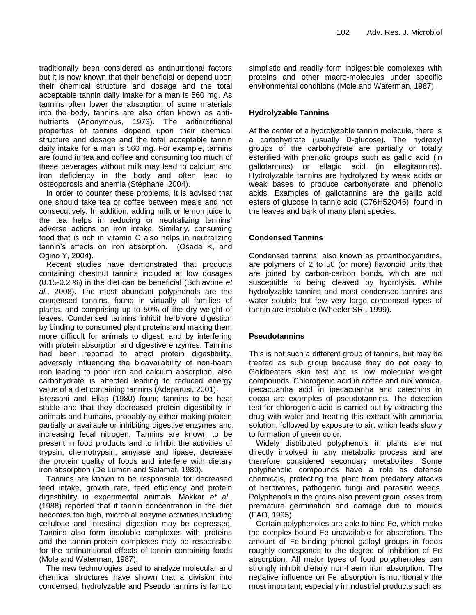traditionally been considered as antinutritional factors but it is now known that their beneficial or depend upon their chemical structure and dosage and the total acceptable tannin daily intake for a man is 560 mg. As tannins often lower the absorption of some materials into the body, tannins are also often known as antinutrients (Anonymous, 1973). The antinutritional properties of tannins depend upon their chemical structure and dosage and the total acceptable tannin daily intake for a man is 560 mg. For example, tannins are found in tea and coffee and consuming too much of these beverages without milk may lead to calcium and iron deficiency in the body and often lead to osteoporosis and anemia (Stéphane, 2004).

In order to counter these problems, it is advised that one should take tea or coffee between meals and not consecutively. In addition, adding milk or lemon juice to the tea helps in reducing or neutralizing tannins" adverse actions on iron intake. Similarly, consuming food that is rich in vitamin C also helps in neutralizing tannin"s effects on iron absorption. (Osada K, and Ogino Y, 2004**)**.

Recent studies have demonstrated that products containing chestnut tannins included at low dosages (0.15-0.2 %) in the diet can be beneficial (Schiavone *et al.*, 2008). The most abundant polyphenols are the condensed tannins, found in virtually all families of plants, and comprising up to 50% of the dry weight of leaves. Condensed tannins inhibit herbivore digestion by binding to consumed plant proteins and making them more difficult for animals to digest, and by interfering with protein absorption and digestive enzymes. Tannins had been reported to affect protein digestibility, adversely influencing the bioavailability of non-haem iron leading to poor iron and calcium absorption, also carbohydrate is affected leading to reduced energy value of a diet containing tannins (Adeparusi, 2001).

Bressani and Elias (1980) found tannins to be heat stable and that they decreased protein digestibility in animals and humans, probably by either making protein partially unavailable or inhibiting digestive enzymes and increasing fecal nitrogen. Tannins are known to be present in food products and to inhibit the activities of trypsin, chemotrypsin, amylase and lipase, decrease the protein quality of foods and interfere with dietary iron absorption (De Lumen and Salamat, 1980).

Tannins are known to be responsible for decreased feed intake, growth rate, feed efficiency and protein digestibility in experimental animals. Makkar *et al*., (1988) reported that if tannin concentration in the diet becomes too high, microbial enzyme activities including cellulose and intestinal digestion may be depressed. Tannins also form insoluble complexes with proteins and the tannin-protein complexes may be responsible for the antinutritional effects of tannin containing foods (Mole and Waterman, 1987).

The new technologies used to analyze molecular and chemical structures have shown that a division into condensed, hydrolyzable and Pseudo tannins is far too simplistic and readily form indigestible complexes with proteins and other macro-molecules under specific environmental conditions (Mole and Waterman, 1987).

## **Hydrolyzable Tannins**

At the center of a hydrolyzable tannin molecule, there is a carbohydrate (usually D-glucose). The hydroxyl groups of the carbohydrate are partially or totally esterified with phenolic groups such as gallic acid (in gallotannins) or ellagic acid (in ellagitannins). Hydrolyzable tannins are hydrolyzed by weak acids or weak bases to produce carbohydrate and phenolic acids. Examples of gallotannins are the gallic acid esters of glucose in tannic acid (C76H52O46), found in the leaves and bark of many plant species.

## **Condensed Tannins**

Condensed tannins, also known as proanthocyanidins, are polymers of 2 to 50 (or more) flavonoid units that are joined by carbon-carbon bonds, which are not susceptible to being cleaved by hydrolysis. While hydrolyzable tannins and most condensed tannins are water soluble but few very large condensed types of tannin are insoluble (Wheeler SR., 1999).

## **Pseudotannins**

This is not such a different group of tannins, but may be treated as sub group because they do not obey to Goldbeaters skin test and is low molecular weight compounds. Chlorogenic acid in coffee and nux vomica, ipecacuanha acid in ipecacuanha and catechins in cocoa are examples of pseudotannins. The detection test for chlorogenic acid is carried out by extracting the drug with water and treating this extract with ammonia solution, followed by exposure to air, which leads slowly to formation of green color.

Widely distributed polyphenols in plants are not directly involved in any metabolic process and are therefore considered secondary metabolites. Some polyphenolic compounds have a role as defense chemicals, protecting the plant from predatory attacks of herbivores, pathogenic fungi and parasitic weeds. Polyphenols in the grains also prevent grain losses from premature germination and damage due to moulds (FAO, 1995).

Certain polyphenoles are able to bind Fe, which make the complex-bound Fe unavailable for absorption. The amount of Fe-binding phenol galloyl groups in foods roughly corresponds to the degree of inhibition of Fe absorption. All major types of food polyphenoles can strongly inhibit dietary non-haem iron absorption. The negative influence on Fe absorption is nutritionally the most important, especially in industrial products such as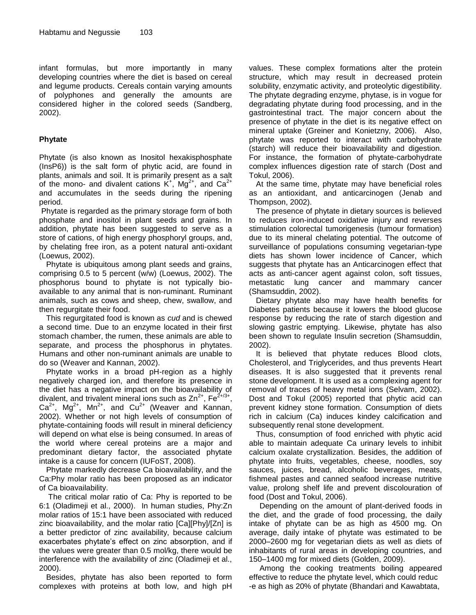infant formulas, but more importantly in many developing countries where the diet is based on cereal and legume products. Cereals contain varying amounts of polyphones and generally the amounts are considered higher in the colored seeds (Sandberg, 2002).

## **Phytate**

Phytate (is also known as Inositol hexakisphosphate (InsP6)) is the salt form of phytic acid, are found in plants, animals and soil. It is primarily present as a salt of the mono- and divalent cations  $K^+$ ,  $Mg^{2+}$ , and  $Ca^{2+}$ and accumulates in the seeds during the ripening period.

Phytate is regarded as the primary storage form of both phosphate and inositol in plant seeds and grains. In addition, phytate has been suggested to serve as a store of cations, of high energy phosphoryl groups, and, by chelating free iron, as a potent natural anti-oxidant (Loewus, 2002).

Phytate is ubiquitous among plant seeds and grains, comprising 0.5 to 5 percent (w/w) (Loewus, 2002). The phosphorus bound to phytate is not typically bioavailable to any animal that is non-ruminant. Ruminant animals, such as cows and sheep, chew, swallow, and then regurgitate their food.

This regurgitated food is known as *cud* and is chewed a second time. Due to an enzyme located in their first stomach chamber, the rumen, these animals are able to separate, and process the phosphorus in phytates. Humans and other non-ruminant animals are unable to do so (Weaver and Kannan, 2002).

Phytate works in a broad pH-region as a highly negatively charged ion, and therefore its presence in the diet has a negative impact on the bioavailability of divalent, and trivalent mineral ions such as  $Zn^{2+}$ , Fe<sup>2+</sup> ,  $Ca<sup>2+</sup>$ , Mg<sup>2+</sup>, Mn<sup>2+</sup>, and Cu<sup>2+</sup> (Weaver and Kannan, 2002). Whether or not high levels of consumption of phytate-containing foods will result in mineral deficiency will depend on what else is being consumed. In areas of the world where cereal proteins are a major and predominant dietary factor, the associated phytate intake is a cause for concern (IUFoST, 2008).

Phytate markedly decrease Ca bioavailability, and the Ca:Phy molar ratio has been proposed as an indicator of Ca bioavailability.

The critical molar ratio of Ca: Phy is reported to be 6:1 (Oladimeji et al., 2000). In human studies, Phy:Zn molar ratios of 15:1 have been associated with reduced zinc bioavailability, and the molar ratio [Ca][Phy]/[Zn] is a better predictor of zinc availability, because calcium exacerbates phytate's effect on zinc absorption, and if the values were greater than 0.5 mol/kg, there would be interference with the availability of zinc (Oladimeji et al., 2000).

Besides, phytate has also been reported to form complexes with proteins at both low, and high pH values. These complex formations alter the protein structure, which may result in decreased protein solubility, enzymatic activity, and proteolytic digestibility. The phytate degrading enzyme, phytase, is in vogue for degradating phytate during food processing, and in the gastrointestinal tract. The major concern about the presence of phytate in the diet is its negative effect on mineral uptake (Greiner and Konietzny, 2006). Also, phytate was reported to interact with carbohydrate (starch) will reduce their bioavailability and digestion. For instance, the formation of phytate-carbohydrate complex influences digestion rate of starch (Dost and Tokul, 2006).

At the same time, phytate may have beneficial roles as an antioxidant, and anticarcinogen (Jenab and Thompson, 2002).

The presence of phytate in dietary sources is believed to reduces iron-induced oxidative injury and reverses stimulation colorectal tumorigenesis (tumour formation) due to its mineral chelating potential. The outcome of surveillance of populations consuming vegetarian-type diets has shown lower incidence of Cancer, which suggests that phytate has an Anticarcinogen effect that acts as anti-cancer agent against colon, soft tissues, metastatic lung cancer and mammary cancer (Shamsuddin, 2002).

Dietary phytate also may have health benefits for Diabetes patients because it lowers the blood glucose response by reducing the rate of starch digestion and slowing gastric emptying. Likewise, phytate has also been shown to regulate Insulin secretion (Shamsuddin, 2002).

It is believed that phytate reduces Blood clots, Cholesterol, and Triglycerides, and thus prevents Heart diseases. It is also suggested that it prevents renal stone development. It is used as a complexing agent for removal of traces of heavy metal ions (Selvam, 2002). Dost and Tokul (2005) reported that phytic acid can prevent kidney stone formation. Consumption of diets rich in calcium (Ca) induces kindey calcification and subsequently renal stone development.

Thus, consumption of food enriched with phytic acid able to maintain adequate Ca urinary levels to inhibit calcium oxalate crystallization. Besides, the addition of phytate into fruits, vegetables, cheese, noodles, soy sauces, juices, bread, alcoholic beverages, meats, fishmeal pastes and canned seafood increase nutritive value, prolong shelf life and prevent discolouration of food (Dost and Tokul, 2006).

Depending on the amount of plant-derived foods in the diet, and the grade of food processing, the daily intake of phytate can be as high as 4500 mg. On average, daily intake of phytate was estimated to be 2000–2600 mg for vegetarian diets as well as diets of inhabitants of rural areas in developing countries, and 150–1400 mg for mixed diets (Golden, 2009).

Among the cooking treatments boiling appeared effective to reduce the phytate level, which could reduc -e as high as 20% of phytate (Bhandari and Kawabtata,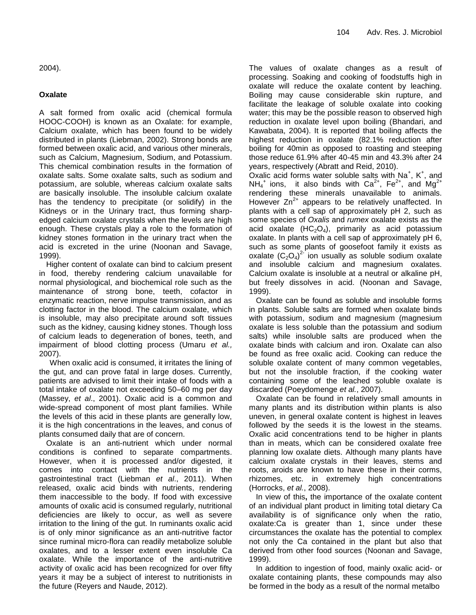2004).

#### **Oxalate**

A salt formed from oxalic acid (chemical formula HOOC-COOH) is known as an Oxalate: for example, Calcium oxalate, which has been found to be widely distributed in plants (Liebman, 2002). Strong bonds are formed between oxalic acid, and various other minerals, such as Calcium, Magnesium, Sodium, and Potassium. This chemical combination results in the formation of oxalate salts. Some oxalate salts, such as sodium and potassium, are soluble, whereas calcium oxalate salts are basically insoluble. The insoluble calcium oxalate has the tendency to precipitate (or solidify) in the Kidneys or in the Urinary tract, thus forming sharpedged calcium oxalate crystals when the levels are high enough. These crystals play a role to the formation of kidney stones formation in the urinary tract when the acid is excreted in the urine (Noonan and Savage, 1999).

Higher content of oxalate can bind to calcium present in food, thereby rendering calcium unavailable for normal physiological, and biochemical role such as the maintenance of strong bone, teeth, cofactor in enzymatic reaction, nerve impulse transmission, and as clotting factor in the blood. The calcium oxalate, which is insoluble, may also precipitate around soft tissues such as the kidney, causing kidney stones. Though loss of calcium leads to degeneration of bones, teeth, and impairment of blood clotting process (Umaru *et al.,*  2007).

When oxalic acid is consumed, it irritates the lining of the gut, and can prove fatal in large doses. Currently, patients are advised to limit their intake of foods with a total intake of oxalate not exceeding 50–60 mg per day (Massey, *et al*., 2001). Oxalic acid is a common and wide-spread component of most plant families. While the levels of this acid in these plants are generally low, it is the high concentrations in the leaves, and conus of plants consumed daily that are of concern.

Oxalate is an anti-nutrient which under normal conditions is confined to separate compartments. However, when it is processed and/or digested, it comes into contact with the nutrients in the gastrointestinal tract (Liebman *et al*., 2011). When released, oxalic acid binds with nutrients, rendering them inaccessible to the body. If food with excessive amounts of oxalic acid is consumed regularly, nutritional deficiencies are likely to occur, as well as severe irritation to the lining of the gut. In ruminants oxalic acid is of only minor significance as an anti-nutritive factor since ruminal micro-flora can readily metabolize soluble oxalates, and to a lesser extent even insoluble Ca oxalate. While the importance of the anti-nutritive activity of oxalic acid has been recognized for over fifty years it may be a subject of interest to nutritionists in the future (Reyers and Naude, 2012).

The values of oxalate changes as a result of processing. Soaking and cooking of foodstuffs high in oxalate will reduce the oxalate content by leaching. Boiling may cause considerable skin rupture, and facilitate the leakage of soluble oxalate into cooking water; this may be the possible reason to observed high reduction in oxalate level upon boiling (Bhandari, and Kawabata, 2004). It is reported that boiling affects the highest reduction in oxalate (82.1% reduction after boiling for 40min as opposed to roasting and steeping those reduce 61.9% after 40-45 min and 43.3% after 24 years, respectively (Abratt and Reid, 2010).

Oxalic acid forms water soluble salts with  $Na<sup>+</sup>$ , K<sup>+</sup>, and  $NH_4^+$  ions, it also binds with Ca<sup>2+</sup>, Fe<sup>2+</sup>, and Mg<sup>2+</sup> rendering these minerals unavailable to animals. However  $Zn^{2+}$  appears to be relatively unaffected. In plants with a cell sap of approximately pH 2, such as some species of *Oxalis* and *rumex* oxalate exists as the acid oxalate  $(HC_2O_4)$ , primarily as acid potassium oxalate. In plants with a cell sap of approximately pH 6, such as some plants of goosefoot family it exists as oxalate  $(C_2O_4)^{2}$  ion usually as soluble sodium oxalate and insoluble calcium and magnesium oxalates. Calcium oxalate is insoluble at a neutral or alkaline pH, but freely dissolves in acid. (Noonan and Savage, 1999).

Oxalate can be found as soluble and insoluble forms in plants. Soluble salts are formed when oxalate binds with potassium, sodium and magnesium (magnesium oxalate is less soluble than the potassium and sodium salts) while insoluble salts are produced when the oxalate binds with calcium and iron. Oxalate can also be found as free oxalic acid. Cooking can reduce the soluble oxalate content of many common vegetables, but not the insoluble fraction, if the cooking water containing some of the leached soluble oxalate is discarded (Poeydomenge *et al.*, 2007).

Oxalate can be found in relatively small amounts in many plants and its distribution within plants is also uneven, in general oxalate content is highest in leaves followed by the seeds it is the lowest in the steams. Oxalic acid concentrations tend to be higher in plants than in meats, which can be considered oxalate free planning low oxalate diets. Although many plants have calcium oxalate crystals in their leaves, stems and roots, aroids are known to have these in their corms, rhizomes, etc. in extremely high concentrations (Horrocks, *et al.*, 2008).

In view of this**,** the importance of the oxalate content of an individual plant product in limiting total dietary Ca availability is of significance only when the ratio, oxalate:Ca is greater than 1, since under these circumstances the oxalate has the potential to complex not only the Ca contained in the plant but also that derived from other food sources (Noonan and Savage, 1999).

In addition to ingestion of food, mainly oxalic acid- or oxalate containing plants, these compounds may also be formed in the body as a result of the normal metalbo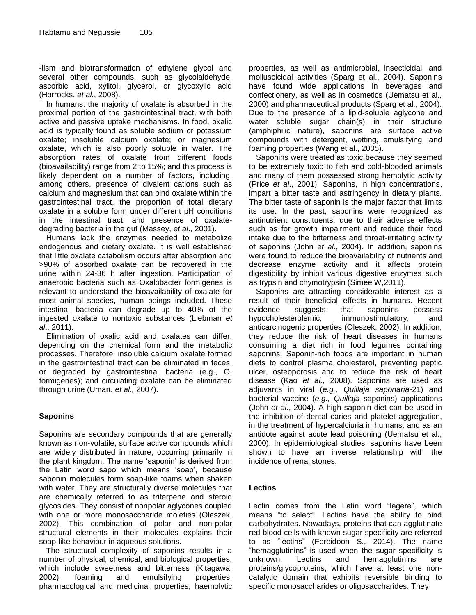-lism and biotransformation of ethylene glycol and several other compounds, such as glycolaldehyde, ascorbic acid, xylitol, glycerol, or glycoxylic acid (Horrocks, *et al.*, 2008).

In humans, the majority of oxalate is absorbed in the proximal portion of the gastrointestinal tract, with both active and passive uptake mechanisms. In food, oxalic acid is typically found as soluble sodium or potassium oxalate; insoluble calcium oxalate; or magnesium oxalate, which is also poorly soluble in water. The absorption rates of oxalate from different foods (bioavailability) range from 2 to 15%; and this process is likely dependent on a number of factors, including, among others, presence of divalent cations such as calcium and magnesium that can bind oxalate within the gastrointestinal tract, the proportion of total dietary oxalate in a soluble form under different pH conditions in the intestinal tract, and presence of oxalatedegrading bacteria in the gut (Massey, *et al*., 2001).

Humans lack the enzymes needed to metabolize endogenous and dietary oxalate. It is well established that little oxalate catabolism occurs after absorption and >90% of absorbed oxalate can be recovered in the urine within 24-36 h after ingestion. Participation of anaerobic bacteria such as Oxalobacter formigenes is relevant to understand the bioavailability of oxalate for most animal species, human beings included. These intestinal bacteria can degrade up to 40% of the ingested oxalate to nontoxic substances (Liebman *et al*., 2011).

Elimination of oxalic acid and oxalates can differ, depending on the chemical form and the metabolic processes. Therefore, insoluble calcium oxalate formed in the gastrointestinal tract can be eliminated in feces, or degraded by gastrointestinal bacteria (e.g., O. formigenes); and circulating oxalate can be eliminated through urine (Umaru *et al.,* 2007).

## **Saponins**

Saponins are secondary compounds that are generally known as non-volatile, surface active compounds which are widely distributed in nature, occurring primarily in the plant kingdom. The name "saponin" is derived from the Latin word sapo which means 'soap', because saponin molecules form soap-like foams when shaken with water. They are structurally diverse molecules that are chemically referred to as triterpene and steroid glycosides. They consist of nonpolar aglycones coupled with one or more monosaccharide moieties (Oleszek, 2002). This combination of polar and non-polar structural elements in their molecules explains their soap-like behaviour in aqueous solutions.

The structural complexity of saponins results in a number of physical, chemical, and biological properties, which include sweetness and bitterness (Kitagawa, 2002), foaming and emulsifying properties, pharmacological and medicinal properties, haemolytic

properties, as well as antimicrobial, insecticidal, and molluscicidal activities (Sparg et al., 2004). Saponins have found wide applications in beverages and confectionery, as well as in cosmetics (Uematsu et al., 2000) and pharmaceutical products (Sparg et al., 2004). Due to the presence of a lipid-soluble aglycone and water soluble sugar chain(s) in their structure (amphiphilic nature), saponins are surface active compounds with detergent, wetting, emulsifying, and foaming properties (Wang et al., 2005).

Saponins were treated as toxic because they seemed to be extremely toxic to fish and cold-blooded animals and many of them possessed strong hemolytic activity (Price *et al*., 2001). Saponins, in high concentrations, impart a bitter taste and astringency in dietary plants. The bitter taste of saponin is the major factor that limits its use. In the past, saponins were recognized as antinutrient constituents, due to their adverse effects such as for growth impairment and reduce their food intake due to the bitterness and throat-irritating activity of saponins (John *et al*., 2004). In addition, saponins were found to reduce the bioavailability of nutrients and decrease enzyme activity and it affects protein digestibility by inhibit various digestive enzymes such as trypsin and chymotrypsin (Simee W,2011).

Saponins are attracting considerable interest as a result of their beneficial effects in humans. Recent evidence suggests that saponins possess hypocholesterolemic, immunostimulatory, and anticarcinogenic properties (Oleszek, 2002). In addition, they reduce the risk of heart diseases in humans consuming a diet rich in food legumes containing saponins. Saponin-rich foods are important in human diets to control plasma cholesterol, preventing peptic ulcer, osteoporosis and to reduce the risk of heart disease (Kao *et al.*, 2008). Saponins are used as adjuvants in viral (*e.g., Quillaja saponaria-*21) and bacterial vaccine (*e.g., Quillaja* saponins) applications (John *et al*., 2004). A high saponin diet can be used in the inhibition of dental caries and platelet aggregation, in the treatment of hypercalciuria in humans, and as an antidote against acute lead poisoning (Uematsu et al., 2000). In epidemiological studies, saponins have been shown to have an inverse relationship with the incidence of renal stones.

## **Lectins**

Lectin comes from the Latin word "legere", which means "to select". Lectins have the ability to bind carbohydrates. Nowadays, proteins that can agglutinate red blood cells with known sugar specificity are referred to as "lectins" (Fereidoon S., 2014). The name "hemagglutinins" is used when the sugar specificity is unknown. Lectins and hemagglutinins are proteins/glycoproteins, which have at least one noncatalytic domain that exhibits reversible binding to specific monosaccharides or oligosaccharides. They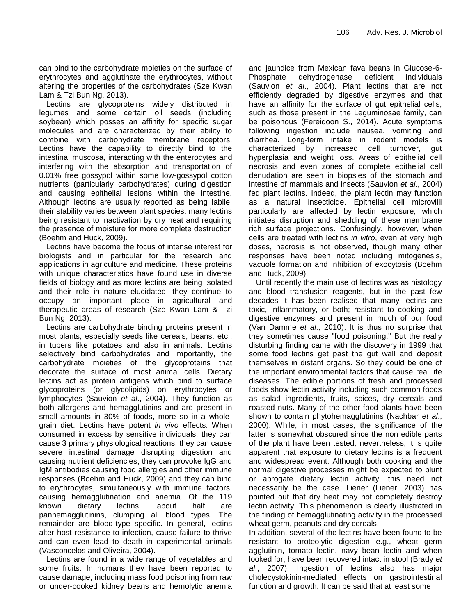can bind to the carbohydrate moieties on the surface of erythrocytes and agglutinate the erythrocytes, without altering the properties of the carbohydrates (Sze Kwan Lam & Tzi Bun Ng, 2013).

Lectins are glycoproteins widely distributed in legumes and some certain oil seeds (including soybean) which posses an affinity for specific sugar molecules and are characterized by their ability to combine with carbohydrate membrane receptors. Lectins have the capability to directly bind to the intestinal muscosa, interacting with the enterocytes and interfering with the absorption and transportation of 0.01% free gossypol within some low-gossypol cotton nutrients (particularly carbohydrates) during digestion and causing epithelial lesions within the intestine. Although lectins are usually reported as being labile, their stability varies between plant species, many lectins being resistant to inactivation by dry heat and requiring the presence of moisture for more complete destruction (Boehm and Huck, 2009).

Lectins have become the focus of intense interest for biologists and in particular for the research and applications in agriculture and medicine. These proteins with unique characteristics have found use in diverse fields of biology and as more lectins are being isolated and their role in nature elucidated, they continue to occupy an important place in agricultural and therapeutic areas of research (Sze Kwan Lam & Tzi Bun Ng, 2013).

Lectins are carbohydrate binding proteins present in most plants, especially seeds like cereals, beans, etc., in tubers like potatoes and also in animals. Lectins selectively bind carbohydrates and importantly, the carbohydrate moieties of the glycoproteins that decorate the surface of most animal cells. Dietary lectins act as protein antigens which bind to surface glycoproteins (or glycolipids) on erythrocytes or lymphocytes (Sauvion *et al*., 2004). They function as both allergens and hemagglutinins and are present in small amounts in 30% of foods, more so in a wholegrain diet. Lectins have potent *in vivo* effects. When consumed in excess by sensitive individuals, they can cause 3 primary physiological reactions: they can cause severe intestinal damage disrupting digestion and causing nutrient deficiencies; they can provoke IgG and IgM antibodies causing food allergies and other immune responses (Boehm and Huck, 2009) and they can bind to erythrocytes, simultaneously with immune factors, causing hemagglutination and anemia. Of the 119 known dietary lectins, about half are panhemagglutinins, clumping all blood types. The remainder are blood-type specific. In general, lectins alter host resistance to infection, cause failure to thrive and can even lead to death in experimental animals (Vasconcelos and Oliveira, 2004).

Lectins are found in a wide range of vegetables and some fruits. In humans they have been reported to cause damage, including mass food poisoning from raw or under-cooked kidney beans and hemolytic anemia and jaundice from Mexican fava beans in Glucose-6- Phosphate dehydrogenase deficient individuals (Sauvion *et al*., 2004). Plant lectins that are not efficiently degraded by digestive enzymes and that have an affinity for the surface of gut epithelial cells, such as those present in the Leguminosae family, can be poisonous (Fereidoon S., 2014). Acute symptoms following ingestion include nausea, vomiting and diarrhea. Long-term intake in rodent models is characterized by increased cell turnover, gut hyperplasia and weight loss. Areas of epithelial cell necrosis and even zones of complete epithelial cell denudation are seen in biopsies of the stomach and intestine of mammals and insects (Sauvion *et al*., 2004) fed plant lectins. Indeed, the plant lectin may function as a natural insecticide. Epithelial cell microvilli particularly are affected by lectin exposure, which initiates disruption and shedding of these membrane rich surface projections. Confusingly, however, when cells are treated with lectins *in vitro*, even at very high doses, necrosis is not observed, though many other responses have been noted including mitogenesis, vacuole formation and inhibition of exocytosis (Boehm and Huck, 2009).

Until recently the main use of lectins was as histology and blood transfusion reagents, but in the past few decades it has been realised that many lectins are toxic, inflammatory, or both; resistant to cooking and digestive enzymes and present in much of our food (Van Damme *et al*., 2010). It is thus no surprise that they sometimes cause "food poisoning." But the really disturbing finding came with the discovery in 1999 that some food lectins get past the gut wall and deposit themselves in distant organs. So they could be one of the important environmental factors that cause real life diseases. The edible portions of fresh and processed foods show lectin activity including such common foods as salad ingredients, fruits, spices, dry cereals and roasted nuts. Many of the other food plants have been shown to contain phytohemagglutinins (Nachbar *et al*., 2000). While, in most cases, the significance of the latter is somewhat obscured since the non edible parts of the plant have been tested, nevertheless, it is quite apparent that exposure to dietary lectins is a frequent and widespread event. Although both cooking and the normal digestive processes might be expected to blunt or abrogate dietary lectin activity, this need not necessarily be the case. Liener (Liener, 2003) has pointed out that dry heat may not completely destroy lectin activity. This phenomenon is clearly illustrated in the finding of hemagglutinating activity in the processed wheat germ, peanuts and dry cereals.

In addition, several of the lectins have been found to be resistant to proteolytic digestion e.g., wheat germ agglutinin, tomato lectin, navy bean lectin and when looked for, have been recovered intact in stool (Brady *et al*., 2007). Ingestion of lectins also has major cholecystokinin-mediated effects on gastrointestinal function and growth. It can be said that at least some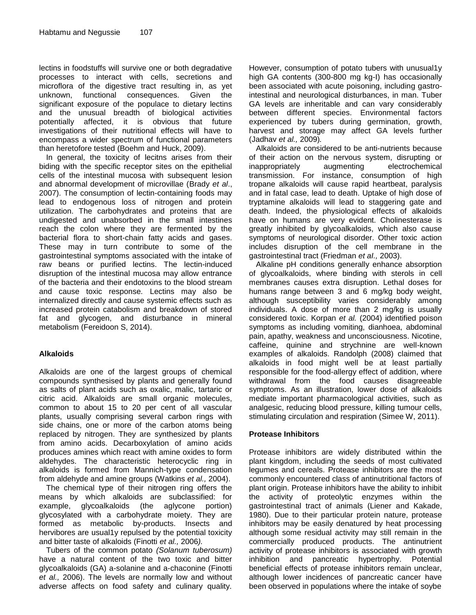lectins in foodstuffs will survive one or both degradative processes to interact with cells, secretions and microflora of the digestive tract resulting in, as yet unknown, functional consequences. Given the significant exposure of the populace to dietary lectins and the unusual breadth of biological activities potentially affected, it is obvious that future investigations of their nutritional effects will have to encompass a wider spectrum of functional parameters than heretofore tested (Boehm and Huck, 2009).

In general, the toxicity of lecitns arises from their biding with the specific receptor sites on the epithelial cells of the intestinal mucosa with subsequent lesion and abnormal development of microvillae (Brady *et al*., 2007). The consumption of lectin-containing foods may lead to endogenous loss of nitrogen and protein utilization. The carbohydrates and proteins that are undigested and unabsorbed in the small intestines reach the colon where they are fermented by the bacterial flora to short-chain fatty acids and gases. These may in turn contribute to some of the gastrointestinal symptoms associated with the intake of raw beans or purified lectins. The lectin-induced disruption of the intestinal mucosa may allow entrance of the bacteria and their endotoxins to the blood stream and cause toxic response*.* Lectins may also be internalized directly and cause systemic effects such as increased protein catabolism and breakdown of stored fat and glycogen, and disturbance in mineral metabolism (Fereidoon S, 2014).

## **Alkaloids**

Alkaloids are one of the largest groups of chemical compounds synthesised by plants and generally found as salts of plant acids such as oxalic, malic, tartaric or citric acid. Alkaloids are small organic molecules, common to about 15 to 20 per cent of all vascular plants, usually comprising several carbon rings with side chains, one or more of the carbon atoms being replaced by nitrogen. They are synthesized by plants from amino acids. Decarboxylation of amino acids produces amines which react with amine oxides to form aldehydes. The characteristic heterocyclic ring in alkaloids is formed from Mannich-type condensation from aldehyde and amine groups (Watkins *et al.,* 2004).

The chemical type of their nitrogen ring offers the means by which alkaloids are subclassified: for example, glycoalkaloids (the aglycone portion) glycosylated with a carbohydrate moiety. They are formed as metabolic by-products. Insects and hervibores are usual1y repulsed by the potential toxicity and bitter taste of alkaloids (Finotti *et al.,* 2006*).*

Tubers of the common potato *(Solanum tuberosum)*  have a natural content of the two toxic and bitter glycoalkaloids (GA) a-solanine and a-chaconine (Finotti *et al.,* 2006). The levels are normally low and without adverse affects on food safety and culinary quality.

However, consumption of potato tubers with unusual1y high GA contents (300-800 mg kg-I) has occasionally been associated with acute poisoning, including gastrointestinal and neurological disturbances, in man. Tuber GA levels are inheritable and can vary considerably between different species. Environmental factors experienced by tubers during germination, growth, harvest and storage may affect GA levels further (Jadhav *et al.,* 2009)*.*

Alkaloids are considered to be anti-nutrients because of their action on the nervous system, disrupting or inappropriately augmenting electrochemical transmission. For instance, consumption of high tropane alkaloids will cause rapid heartbeat, paralysis and in fatal case, lead to death. Uptake of high dose of tryptamine alkaloids will lead to staggering gate and death. Indeed, the physiological effects of alkaloids have on humans are very evident. Cholinesterase is greatly inhibited by glycoalkaloids, which also cause symptoms of neurological disorder. Other toxic action includes disruption of the cell membrane in the gastrointestinal tract (Friedman *et aI.,* 2003).

Alkaline pH conditions generally enhance absorption of glycoalkaloids, where binding with sterols in cell membranes causes extra disruption. Lethal doses for humans range between 3 and 6 mg/kg body weight, although susceptibility varies considerably among individuals. A dose of more than 2 mg/kg is usually considered toxic. Korpan *et al.* (2004) identified poison symptoms as including vomiting, dianhoea, abdominal pain, apathy, weakness and unconsciousness. Nicotine, caffeine, quinine and strychnine are well-known examples of alkaloids. Randolph (2008) claimed that alkaloids in food might well be at least partially responsible for the food-allergy effect of addition, where withdrawal from the food causes disagreeable symptoms. As an illustration, lower dose of alkaloids mediate important pharmacological activities, such as analgesic, reducing blood pressure, killing tumour cells, stimulating circulation and respiration (Simee W, 2011).

## **Protease Inhibitors**

Protease inhibitors are widely distributed within the plant kingdom, including the seeds of most cultivated legumes and cereals. Protease inhibitors are the most commonly encountered class of antinutritional factors of plant origin. Protease inhibitors have the ability to inhibit the activity of proteolytic enzymes within the gastrointestinal tract of animals (Liener and Kakade, 1980). Due to their particular protein nature, protease inhibitors may be easily denatured by heat processing although some residual activity may still remain in the commercially produced products. The antinutrient activity of protease inhibitors is associated with growth inhibition and pancreatic hypertrophy. Potential beneficial effects of protease inhibitors remain unclear, although lower incidences of pancreatic cancer have been observed in populations where the intake of soybe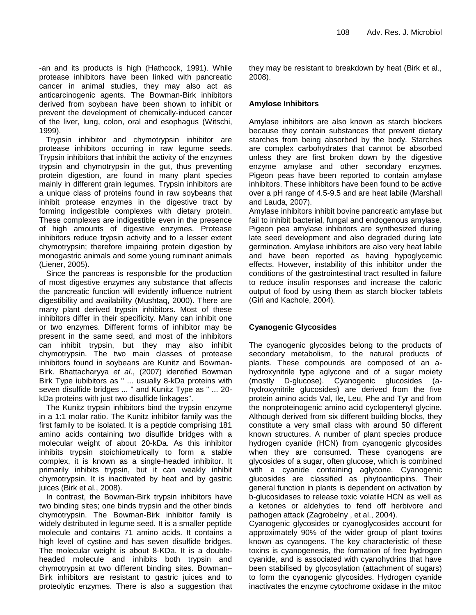-an and its products is high (Hathcock, 1991). While protease inhibitors have been linked with pancreatic cancer in animal studies, they may also act as anticarcinogenic agents. The Bowman-Birk inhibitors derived from soybean have been shown to inhibit or prevent the development of chemically-induced cancer of the liver, lung, colon, oral and esophagus (Witschi, 1999).

Trypsin inhibitor and chymotrypsin inhibitor are protease inhibitors occurring in raw legume seeds. Trypsin inhibitors that inhibit the activity of the enzymes trypsin and chymotrypsin in the gut, thus preventing protein digestion, are found in many plant species mainly in different grain legumes. Trypsin inhibitors are a unique class of proteins found in raw soybeans that inhibit protease enzymes in the digestive tract by forming indigestible complexes with dietary protein. These complexes are indigestible even in the presence of high amounts of digestive enzymes. Protease inhibitors reduce trypsin activity and to a lesser extent chymotrypsin; therefore impairing protein digestion by monogastric animals and some young ruminant animals (Liener, 2005).

Since the pancreas is responsible for the production of most digestive enzymes any substance that affects the pancreatic function will evidently influence nutrient digestibility and availability (Mushtaq, 2000). There are many plant derived trypsin inhibitors. Most of these inhibitors differ in their specificity. Many can inhibit one or two enzymes. Different forms of inhibitor may be present in the same seed, and most of the inhibitors can inhibit trypsin, but they may also inhibit chymotrypsin. The two main classes of protease inhibitors found in soybeans are Kunitz and Bowman-Birk. Bhattacharyya *et al*., (2007) identified Bowman Birk Type iubibitors as " ... usually 8-kDa proteins with seven disulfide bridges ... " and Kunitz Type as " ... 20 kDa proteins with just two disulfide linkages".

The Kunitz trypsin inhibitors bind the trypsin enzyme in a 1:1 molar ratio. The Kunitz inhibitor family was the first family to be isolated. It is a peptide comprising 181 amino acids containing two disulfide bridges with a molecular weight of about 20-kDa. As this inhibitor inhibits trypsin stoichiometrically to form a stable complex, it is known as a single-headed inhibitor. It primarily inhibits trypsin, but it can weakly inhibit chymotrypsin. It is inactivated by heat and by gastric juices (Birk et al., 2008).

In contrast, the Bowman-Birk trypsin inhibitors have two binding sites; one binds trypsin and the other binds chymotrypsin. The Bowman-Birk inhibitor family is widely distributed in legume seed. It is a smaller peptide molecule and contains 71 amino acids. It contains a high level of cystine and has seven disulfide bridges. The molecular weight is about 8-KDa. It is a doubleheaded molecule and inhibits both trypsin and chymotrypsin at two different binding sites. Bowman– Birk inhibitors are resistant to gastric juices and to proteolytic enzymes. There is also a suggestion that they may be resistant to breakdown by heat (Birk et al., 2008).

#### **Amylose Inhibitors**

Amylase inhibitors are also known as starch blockers because they contain substances that prevent dietary starches from being absorbed by the body. Starches are complex carbohydrates that cannot be absorbed unless they are first broken down by the digestive enzyme amylase and other secondary enzymes. Pigeon peas have been reported to contain amylase inhibitors. These inhibitors have been found to be active over a pH range of 4.5-9.5 and are heat labile (Marshall and Lauda, 2007).

Amylase inhibitors inhibit bovine pancreatic amylase but fail to inhibit bacterial, fungal and endogenous amylase. Pigeon pea amylase inhibitors are synthesized during late seed development and also degraded during late germination. Amylase inhibitors are also very heat labile and have been reported as having hypoglycemic effects. However, instability of this inhibitor under the conditions of the gastrointestinal tract resulted in failure to reduce insulin responses and increase the caloric output of food by using them as starch blocker tablets (Giri and Kachole, 2004)*.*

## **Cyanogenic Glycosides**

The cyanogenic glycosides belong to the products of secondary metabolism, to the natural products of plants. These compounds are composed of an ahydroxynitrile type aglycone and of a sugar moiety (mostly D-glucose). Cyanogenic glucosides (ahydroxynitrile glucosides) are derived from the five protein amino acids Val, Ile, Leu, Phe and Tyr and from the nonproteinogenic amino acid cyclopentenyl glycine. Although derived from six different building blocks, they constitute a very small class with around 50 different known structures. A number of plant species produce hydrogen cyanide (HCN) from cyanogenic glycosides when they are consumed. These cyanogens are glycosides of a sugar, often glucose, which is combined with a cyanide containing aglycone. Cyanogenic glucosides are classified as phytoanticipins. Their general function in plants is dependent on activation by b-glucosidases to release toxic volatile HCN as well as a ketones or aldehydes to fend off herbivore and pathogen attack (Zagrobelny , et al., 2004).

Cyanogenic glycosides or cyanoglycosides account for approximately 90% of the wider group of plant toxins known as cyanogens. The key characteristic of these toxins is cyanogenesis, the formation of free hydrogen cyanide, and is associated with cyanohydrins that have been stabilised by glycosylation (attachment of sugars) to form the cyanogenic glycosides. Hydrogen cyanide inactivates the enzyme cytochrome oxidase in the mitoc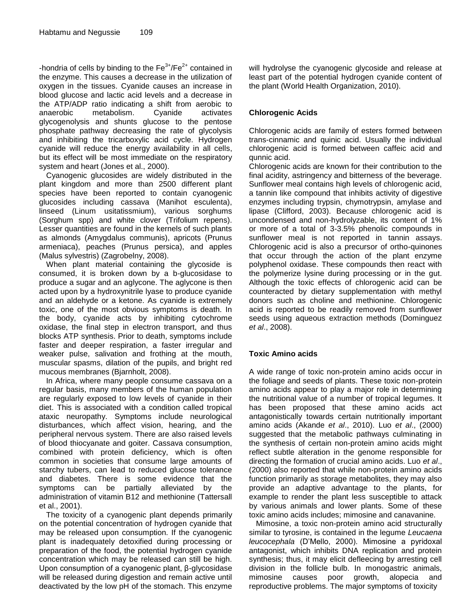-hondria of cells by binding to the  $Fe<sup>3+</sup>/Fe<sup>2+</sup>$  contained in the enzyme. This causes a decrease in the utilization of oxygen in the tissues. Cyanide causes an increase in blood glucose and lactic acid levels and a decrease in the ATP/ADP ratio indicating a shift from aerobic to anaerobic metabolism. Cyanide activates glycogenolysis and shunts glucose to the pentose phosphate pathway decreasing the rate of glycolysis and inhibiting the tricarboxylic acid cycle. Hydrogen cyanide will reduce the energy availability in all cells, but its effect will be most immediate on the respiratory system and heart (Jones et al., 2000).

Cyanogenic glucosides are widely distributed in the plant kingdom and more than 2500 different plant species have been reported to contain cyanogenic glucosides including cassava (Manihot esculenta), linseed (Linum usitatissmium), various sorghums (Sorghum spp) and white clover (Trifolium repens). Lesser quantities are found in the kernels of such plants as almonds (Amygdalus communis), apricots (Prunus armeniaca), peaches (Prunus persica), and apples (Malus sylvestris) (Zagrobelny, 2008).

When plant material containing the glycoside is consumed, it is broken down by a b-glucosidase to produce a sugar and an aglycone. The aglycone is then acted upon by a hydroxynitrile lyase to produce cyanide and an aldehyde or a ketone. As cyanide is extremely toxic, one of the most obvious symptoms is death. In the body, cyanide acts by inhibiting cytochrome oxidase, the final step in electron transport, and thus blocks ATP synthesis. Prior to death, symptoms include faster and deeper respiration, a faster irregular and weaker pulse, salivation and frothing at the mouth, muscular spasms, dilation of the pupils, and bright red mucous membranes (Bjarnholt, 2008).

In Africa, where many people consume cassava on a regular basis, many members of the human population are regularly exposed to low levels of cyanide in their diet. This is associated with a condition called tropical ataxic neuropathy. Symptoms include neurological disturbances, which affect vision, hearing, and the peripheral nervous system. There are also raised levels of blood thiocyanate and goiter. Cassava consumption, combined with protein deficiency, which is often common in societies that consume large amounts of starchy tubers, can lead to reduced glucose tolerance and diabetes. There is some evidence that the symptoms can be partially alleviated by the administration of vitamin B12 and methionine (Tattersall et al., 2001).

The toxicity of a cyanogenic plant depends primarily on the potential concentration of hydrogen cyanide that may be released upon consumption. If the cyanogenic plant is inadequately detoxified during processing or preparation of the food, the potential hydrogen cyanide concentration which may be released can still be high. Upon consumption of a cyanogenic plant, β-glycosidase will be released during digestion and remain active until deactivated by the low pH of the stomach. This enzyme will hydrolyse the cyanogenic glycoside and release at least part of the potential hydrogen cyanide content of the plant (World Health Organization, 2010).

# **Chlorogenic Acids**

Chlorogenic acids are family of esters formed between trans-cinnamic and quinic acid. Usually the individual chlorogenic acid is formed between caffeic acid and qunnic acid.

Chlorogenic acids are known for their contribution to the final acidity, astringency and bitterness of the beverage. Sunflower meal contains high levels of chlorogenic acid, a tannin like compound that inhibits activity of digestive enzymes including trypsin, chymotrypsin, amylase and lipase (Clifford, 2003). Because chlorogenic acid is uncondensed and non-hydrolyzable, its content of 1% or more of a total of 3-3.5% phenolic compounds in sunflower meal is not reported in tannin assays. Chlorogenic acid is also a precursor of ortho-quinones that occur through the action of the plant enzyme polyphenol oxidase. These compounds then react with the polymerize lysine during processing or in the gut. Although the toxic effects of chlorogenic acid can be counteracted by dietary supplementation with methyl donors such as choline and methionine. Chlorogenic acid is reported to be readily removed from sunflower seeds using aqueous extraction methods (Dominguez *et al*., 2008).

## **Toxic Amino acids**

A wide range of toxic non-protein amino acids occur in the foliage and seeds of plants. These toxic non-protein amino acids appear to play a major role in determining the nutritional value of a number of tropical legumes. It has been proposed that these amino acids act antagonistically towards certain nutritionally important amino acids (Akande *et al*., 2010). Luo *et al*., (2000) suggested that the metabolic pathways culminating in the synthesis of certain non-protein amino acids might reflect subtle alteration in the genome responsible for directing the formation of crucial amino acids. Luo *et al*., (2000) also reported that while non-protein amino acids function primarily as storage metabolites, they may also provide an adaptive advantage to the plants, for example to render the plant less susceptible to attack by various animals and lower plants. Some of these toxic amino acids includes; mimosine and canavanine.

Mimosine, a toxic non-protein amino acid structurally similar to tyrosine, is contained in the legume *Leucaena leucocephala* (D"Mello, 2000). Mimosine a pyridoxal antagonist, which inhibits DNA replication and protein synthesis; thus, it may elicit defleecing by arresting cell division in the follicle bulb. In monogastric animals, mimosine causes poor growth, alopecia and reproductive problems. The major symptoms of toxicity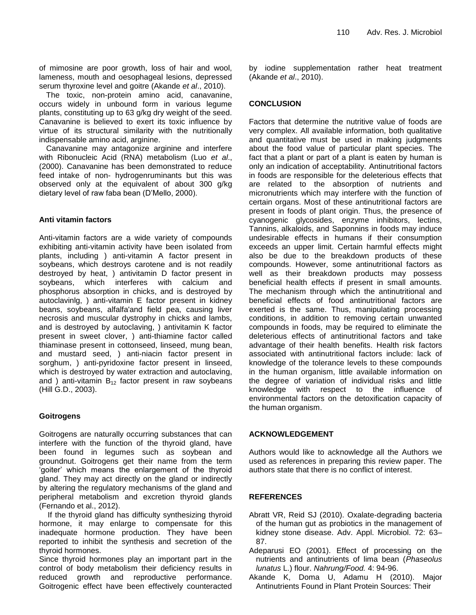of mimosine are poor growth, loss of hair and wool, lameness, mouth and oesophageal lesions, depressed serum thyroxine level and goitre (Akande *et al*., 2010).

The toxic, non-protein amino acid, canavanine, occurs widely in unbound form in various legume plants, constituting up to 63 g/kg dry weight of the seed. Canavanine is believed to exert its toxic influence by virtue of its structural similarity with the nutritionally indispensable amino acid, arginine.

Canavanine may antagonize arginine and interfere with Ribonucleic Acid (RNA) metabolism (Luo *et al*., (2000). Canavanine has been demonstrated to reduce feed intake of non- hydrogenruminants but this was observed only at the equivalent of about 300 g/kg dietary level of raw faba bean (D"Mello, 2000).

## **Anti vitamin factors**

Anti-vitamin factors are a wide variety of compounds exhibiting anti-vitamin activity have been isolated from plants, including ) anti-vitamin A factor present in soybeans, which destroys carotene and is not readily destroyed by heat, ) antivitamin D factor present in soybeans, which interferes with calcium and phosphorus absorption in chicks, and is destroyed by autoclavinlg, ) anti-vitamin E factor present in kidney beans, soybeans, alfalfa'and field pea, causing liver necrosis and muscular dystrophy in chicks and lambs, and is destroyed by autoclaving, ) antivitamin K factor present in sweet clover, ) anti-thiamine factor called thiaminase present in cottonseed, linseed, mung bean, and mustard seed, ) anti-niacin factor present in sorghum, ) anti-pyridoxine factor present in linseed, which is destroyed by water extraction and autoclaving, and ) anti-vitamin  $B_{12}$  factor present in raw soybeans (Hill G.D., 2003).

## **Goitrogens**

Goitrogens are naturally occurring substances that can interfere with the function of the thyroid gland, have been found in legumes such as soybean and groundnut. Goitrogens get their name from the term 'goiter' which means the enlargement of the thyroid gland. They may act directly on the gland or indirectly by altering the regulatory mechanisms of the gland and peripheral metabolism and excretion thyroid glands (Fernando et al., 2012).

 If the thyroid gland has difficulty synthesizing thyroid hormone, it may enlarge to compensate for this inadequate hormone production. They have been reported to inhibit the synthesis and secretion of the thyroid hormones.

Since thyroid hormones play an important part in the control of body metabolism their deficiency results in reduced growth and reproductive performance. Goitrogenic effect have been effectively counteracted by iodine supplementation rather heat treatment (Akande *et al*., 2010).

# **CONCLUSION**

Factors that determine the nutritive value of foods are very complex. All available information, both qualitative and quantitative must be used in making judgments about the food value of particular plant species. The fact that a plant or part of a plant is eaten by human is only an indication of acceptability. Antinutritional factors in foods are responsible for the deleterious effects that are related to the absorption of nutrients and micronutrients which may interfere with the function of certain organs. Most of these antinutritional factors are present in foods of plant origin. Thus, the presence of cyanogenic glycosides, enzyme inhibitors, lectins, Tannins, alkaloids, and Saponnins in foods may induce undesirable effects in humans if their consumption exceeds an upper limit. Certain harmful effects might also be due to the breakdown products of these compounds. However, some antinutritional factors as well as their breakdown products may possess beneficial health effects if present in small amounts. The mechanism through which the antinutritional and beneficial effects of food antinutritional factors are exerted is the same. Thus, manipulating processing conditions, in addition to removing certain unwanted compounds in foods, may be required to eliminate the deleterious effects of antinutritional factors and take advantage of their health benefits. Health risk factors associated with antinutritional factors include: lack of knowledge of the tolerance levels to these compounds in the human organism, little available information on the degree of variation of individual risks and little knowledge with respect to the influence of environmental factors on the detoxification capacity of the human organism.

## **ACKNOWLEDGEMENT**

Authors would like to acknowledge all the Authors we used as references in preparing this review paper. The authors state that there is no conflict of interest.

## **REFERENCES**

- Abratt VR, Reid SJ (2010). Oxalate-degrading bacteria of the human gut as probiotics in the management of kidney stone disease. Adv. Appl. Microbiol. 72: 63– 87.
- Adeparusi EO (2001). Effect of processing on the nutrients and antinutrients of lima bean (*Phaseolus lunatus* L.) flour. *Nahrung/Food.* 4: 94-96.
- Akande K, Doma U, Adamu H (2010). Major Antinutrients Found in Plant Protein Sources: Their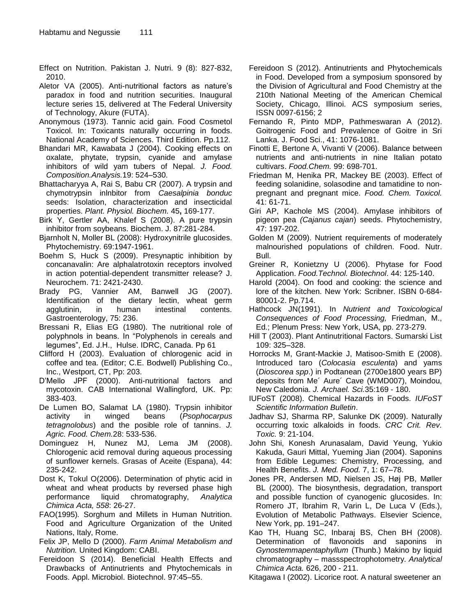Effect on Nutrition. Pakistan J. Nutri. 9 (8): 827-832, 2010.

- Aletor VA (2005). Anti-nutritional factors as nature's paradox in food and nutrition securities. Inaugural lecture series 15, delivered at The Federal University of Technology, Akure (FUTA).
- Anonymous (1973). Tannic acid gain. Food Cosmetol Toxicol. In: Toxicants naturally occurring in foods. National Academy of Sciences. Third Edition. Pp.112.
- Bhandari MR, Kawabata J (2004). Cooking effects on oxalate, phytate, trypsin, cyanide and amylase inhibitors of wild yam tubers of Nepal. *J. Food. Composition.Analysis.*19: 524–530.
- Bhattacharyya A, Rai S, Babu CR (2007). A trypsin and chymotrypsin inlnbitor from *Caesalpinia bonduc*  seeds: Isolation, characterization and insecticidal properties. *Plant. Physiol. Biochem.* 45**,** 169-177.
- Birk Y, Gertler AA, Khalef S (2008). A pure trypsin inhibitor from soybeans. Biochem. J. 87:281-284.
- Bjarnholt N, Moller BL (2008): Hydroxynitrile glucosides. Phytochemistry. 69:1947-1961.
- Boehm S, Huck S (2009). Presynaptic inhibition by concanavalin: Are alphalatrotoxin receptors involved in action potential-dependent transmitter release? J. Neurochem. 71: 2421-2430.
- Brady PG, Vannier AM, Banwell JG (2007). Identification of the dietary lectin, wheat germ agglutinin, in human intestinal contents. Gastroenterology, 75: 236.
- Bressani R, Elias EG (1980). The nutritional role of polyphnols in beans. In "Polyphenols in cereals and legumes", Ed. J.H., Hulse. IDRC, Canada. Pp 61
- Clifford H (2003). Evaluation of chlorogenic acid in coffee and tea. (Editor; C.E. Bodwell) Publishing Co., Inc., Westport, CT, Pp: 203.
- D"Mello JPF (2000). Anti-nutritional factors and mycotoxin. CAB International Wallingford, UK. Pp: 383-403.
- De Lumen BO, Salamat LA (1980). Trypsin inhibitor activity in winged beans (*Psophocarpus tetragnolobus*) and the posible role of tannins. *J. Agric. Food. Chem.*28: 533-536.
- Dominguez H, Nunez MJ, Lema JM (2008). Chlorogenic acid removal during aqueous processing of sunflower kernels. Grasas of Aceite (Espana), 44: 235-242.
- Dost K, Tokul O(2006). Determination of phytic acid in wheat and wheat products by reversed phase high performance liquid chromatography, *Analytica Chimica Acta, 558*: 26-27.
- FAO(1995)*.* Sorghum and Millets in Human Nutrition. Food and Agriculture Organization of the United Nations, Italy, Rome.
- Felix JP, Mello D (2000). *Farm Animal Metabolism and Nutrition.* United Kingdom: CABI.
- Fereidoon S (2014). Beneficial Health Effects and Drawbacks of Antinutrients and Phytochemicals in Foods. Appl. Microbiol. Biotechnol. 97:45–55.
- Fereidoon S (2012). Antinutrients and Phytochemicals in Food. Developed from a symposium sponsored by the Division of Agricultural and Food Chemistry at the 210th National Meeting of the American Chemical Society, Chicago, Illinoi. ACS symposium series, ISSN 0097-6156; 2
- Fernando R, Pinto MDP, Pathmeswaran A (2012). Goitrogenic Food and Prevalence of Goitre in Sri Lanka. J. Food Sci., 41: 1076-1081.
- Finotti E, Bertone A, Vivanti V (2006). Balance between nutrients and anti-nutrients in nine Italian potato cultivars. *Food.Chem.* 99: 698-701.
- Friedman M, Henika PR, Mackey BE (2003). Effect of feeding solanidine, solasodine and tamatidine to nonpregnant and pregnant mice. *Food. Chem. Toxicol.* 41: 61-71.
- Giri AP, Kachole MS (2004). Amylase inhibitors of pigeon pea *(Cajanus cajan*) seeds. Phytochemistry, 47: 197-202.
- Golden M (2009). Nutrient requirements of moderately malnourished populations of children. Food. Nutr. Bull.
- Greiner R, Konietzny U (2006). Phytase for Food Application. *Food.Technol. Biotechnol*. 44: 125-140.
- Harold (2004). On food and cooking: the science and lore of the kitchen. New York: Scribner. ISBN 0-684- 80001-2. Pp.714.
- Hathcock JN(1991). In *Nutrient and Toxicological Consequences of Food Processing,* Friedman, M., Ed.; Plenum Press: New York, USA, pp. 273-279.
- Hill T (2003). Plant Antinutritional Factors. Sumarski List 109: 325–328.
- Horrocks M, Grant-Mackie J, Matisoo-Smith E (2008). Introduced taro (*Colocasia esculenta*) and yams (*Dioscorea spp*.) in Podtanean (2700e1800 years BP) deposits from Me´ Aure´ Cave (WMD007), Moindou, New Caledonia. *J. Archael. Sci.*35:169 - 180.
- IUFoST (2008). Chemical Hazards in Foods. *IUFoST Scientific Information Bulletin*.
- Jadhav SJ, Sharma RP, Salunke DK (2009). Naturally occurring toxic alkaloids in foods. *CRC Crit. Rev. Toxic.* 9: 21-104.
- John Shi, Konesh Arunasalam, David Yeung, Yukio Kakuda, Gauri Mittal, Yueming Jian (2004). Saponins from Edible Legumes: Chemistry, Processing, and Health Benefits. *J. Med. Food.* 7, 1: 67–78.
- Jones PR, Andersen MD, Nielsen JS, Høj PB, Møller BL (2000). The biosynthesis, degradation, transport and possible function of cyanogenic glucosides. In: Romero JT, Ibrahim R, Varin L, De Luca V (Eds.), Evolution of Metabolic Pathways. Elsevier Science, New York, pp. 191–247.
- Kao TH, Huang SC, Inbaraj BS, Chen BH (2008). Determination of flavonoids and saponins in *Gynostemmapentaphyllum* (Thunb.) Makino by liquid chromatography – massspectrophotometry. *Analytical Chimica Acta.* 626, 200 - 211.

Kitagawa I (2002). Licorice root. A natural sweetener an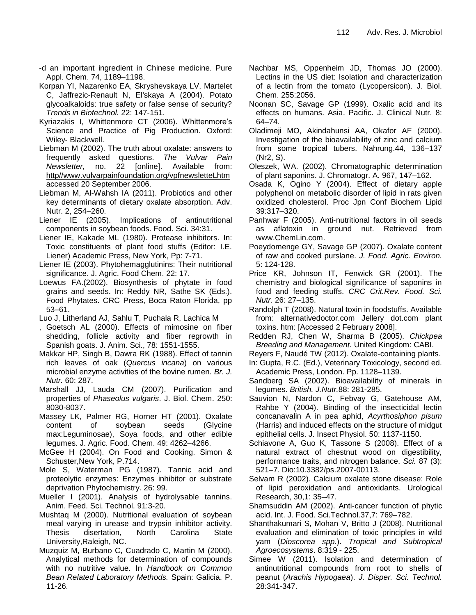- -d an important ingredient in Chinese medicine. Pure Appl. Chem. 74, 1189–1198.
- Korpan YI, Nazarenko EA, Skryshevskaya LV, Martelet C, Jaffrezic-Renault N, El'skaya A (2004). Potato glycoalkaloids: true safety or false sense of security? *Trends in Biotechnol.* 22: 147-151.
- Kyriazakis I, Whittenmore CT (2006). Whittenmore"s Science and Practice of Pig Production*.* Oxford: Wiley- Blackwell.
- Liebman M (2002). The truth about oxalate: answers to frequently asked questions. *The Vulvar Pain Newsletter,* no. 22 [online]. Available from: http//www.vulvarpainfoundation.org/vpfnewsletteLhtm accessed 20 September 2006.
- Liebman M, Al-Wahsh IA (2011). Probiotics and other key determinants of dietary oxalate absorption. Adv. Nutr. 2, 254–260.
- Liener IE (2005). Implications of antinutritional components in soybean foods. Food. Sci. 34:31.
- Liener IE, Kakade ML (1980). Protease inhibitors. In: Toxic constituents of plant food stuffs (Editor: I.E. Liener) Academic Press, New York, Pp: 7-71.
- Liener IE (2003). Phytohemagglutinins: Their nutritional significance. J. Agric. Food Chem. 22: 17.
- Loewus FA.(2002). Biosynthesis of phytate in food grains and seeds. In: Reddy NR, Sathe SK (Eds.). Food Phytates. CRC Press, Boca Raton Florida, pp 53–61.
- Luo J, Litherland AJ, Sahlu T, Puchala R, Lachica M
- , Goetsch AL (2000). Effects of mimosine on fiber shedding, follicle activity and fiber regrowth in Spanish goats. J. Anim. Sci., 78: 1551-1555.
- Makkar HP, Singh B, Dawra RK (1988). Effect of tannin rich leaves of oak (*Quercus incana*) on various microbial enzyme activities of the bovine rumen. *Br. J. Nutr.* 60: 287.
- Marshall JJ, Lauda CM (2007). Purification and properties of *Phaseolus vulgaris*. J. Biol. Chem. 250: 8030-8037.
- Massey LK, Palmer RG, Horner HT (2001). Oxalate content of soybean seeds (Glycine max:Leguminosae), Soya foods, and other edible legumes. J. Agric. Food. Chem. 49: 4262–4266.
- McGee H (2004). On Food and Cooking. Simon & Schuster,New York, P.714.
- Mole S, Waterman PG (1987). Tannic acid and proteolytic enzymes: Enzymes inhibitor or substrate deprivation Phytochemistry. 26: 99.
- Mueller I (2001). Analysis of hydrolysable tannins. Anim. Feed. Sci. Technol. 91:3-20.
- Mushtaq M (2000). Nutritional evaluation of soybean meal varying in urease and trypsin inhibitor activity. Thesis disertation, North Carolina State University,Raleigh, NC.
- Muzquiz M, Burbano C, Cuadrado C, Martin M (2000). Analytical methods for determination of compounds with no nutritive value. In *Handbook on Common Bean Related Laboratory Methods.* Spain: Galicia. P. 11-26.
- Nachbar MS, Oppenheim JD, Thomas JO (2000). Lectins in the US diet: Isolation and characterization of a lectin from the tomato (Lycopersicon). J. Biol. Chem. 255:2056.
- Noonan SC, Savage GP (1999). Oxalic acid and its effects on humans. Asia. Pacific. J. Clinical Nutr. 8: 64–74.
- Oladimeji MO, Akindahunsi AA, Okafor AF (2000). Investigation of the bioavailability of zinc and calcium from some tropical tubers. Nahrung.44, 136–137 (Nr2, S).
- Oleszek, WA. (2002). Chromatographic determination of plant saponins. J. Chromatogr. A. 967, 147–162.
- Osada K, Ogino Y (2004). Effect of dietary apple polyphenol on metabolic disorder of lipid in rats given oxidized cholesterol. Proc Jpn Conf Biochem Lipid 39:317–320.
- Panhwar F (2005). Anti-nutritional factors in oil seeds as aflatoxin in ground nut. Retrieved from www.ChemLin.com.
- Poeydomenge GY, Savage GP (2007). Oxalate content of raw and cooked purslane. *J. Food. Agric. Environ.* 5: 124-128.
- Price KR, Johnson IT, Fenwick GR (2001). The chemistry and biological significance of saponins in food and feeding stuffs. *CRC Crit.Rev. Food. Sci. Nutr.* 26: 27–135.
- Randolph T (2008). Natural toxin in foodstuffs. Available from: alternativedoctor.com Jellery dot.com plant toxins. htm: [Accessed 2 February 2008].
- Redden RJ, Chen W, Sharma B (2005). *Chickpea Breeding and Management.* United Kingdom: CABI.
- Reyers F, Naudé TW (2012). Oxalate-containing plants.
- In: Gupta, R.C. (Ed.), Veterinary Toxicology, second ed. Academic Press, London. Pp. 1128–1139.
- Sandberg SA (2002). Bioavailability of minerals in legumes. *British. J.Nutr.*88: 281-285.
- Sauvion N, Nardon C, Febvay G, Gatehouse AM, Rahbe Y (2004). Binding of the insecticidal lectin concanavalin A in pea aphid, *Acyrthosiphon pisum*  (Harris) and induced effects on the structure of midgut epithelial cells. J. Insect Physiol. 50: 1137-1150.
- Schiavone A, Guo K, Tassone S (2008). Effect of a natural extract of chestnut wood on digestibility, performance traits, and nitrogen balance. *Sci.* 87 (3): 521–7. Dio:10.3382/ps.2007-00113.
- Selvam R (2002). Calcium oxalate stone disease: Role of lipid peroxidation and antioxidants. Urological Research, 30,1: 35–47.
- Shamsuddin AM (2002). Anti-cancer function of phytic acid. Int. J. Food. Sci.Technol.37,7: 769–782.
- Shanthakumari S, Mohan V, Britto J (2008). Nutritional evaluation and elimination of toxic principles in wild yam (*Dioscorea spp*.). *Tropical and Subtropical Agroecosystems*. 8:319 - 225.
- Simee W (2011). Isolation and determination of antinutritional compounds from root to shells of peanut (*Arachis Hypogaea*). *J. Disper. Sci. Technol.* 28:341-347.